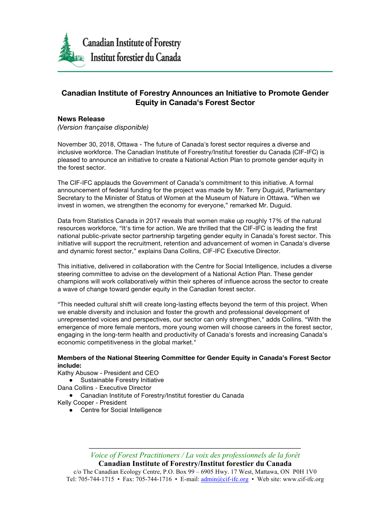

## **Canadian Institute of Forestry Announces an Initiative to Promote Gender Equity in Canada's Forest Sector**

## **News Release**

*(Version française disponible)*

November 30, 2018, Ottawa - The future of Canada's forest sector requires a diverse and inclusive workforce. The Canadian Institute of Forestry/Institut forestier du Canada (CIF-IFC) is pleased to announce an initiative to create a National Action Plan to promote gender equity in the forest sector.

The CIF-IFC applauds the Government of Canada's commitment to this initiative. A formal announcement of federal funding for the project was made by Mr. Terry Duguid, Parliamentary Secretary to the Minister of Status of Women at the Museum of Nature in Ottawa. "When we invest in women, we strengthen the economy for everyone," remarked Mr. Duguid.

Data from Statistics Canada in 2017 reveals that women make up roughly 17% of the natural resources workforce, "It's time for action. We are thrilled that the CIF-IFC is leading the first national public-private sector partnership targeting gender equity in Canada's forest sector. This initiative will support the recruitment, retention and advancement of women in Canada's diverse and dynamic forest sector," explains Dana Collins, CIF-IFC Executive Director.

This initiative, delivered in collaboration with the Centre for Social Intelligence, includes a diverse steering committee to advise on the development of a National Action Plan. These gender champions will work collaboratively within their spheres of influence across the sector to create a wave of change toward gender equity in the Canadian forest sector.

"This needed cultural shift will create long-lasting effects beyond the term of this project. When we enable diversity and inclusion and foster the growth and professional development of unrepresented voices and perspectives, our sector can only strengthen," adds Collins. "With the emergence of more female mentors, more young women will choose careers in the forest sector, engaging in the long-term health and productivity of Canada's forests and increasing Canada's economic competitiveness in the global market."

## **Members of the National Steering Committee for Gender Equity in Canada's Forest Sector include:**

Kathy Abusow - President and CEO

- Sustainable Forestry Initiative
- Dana Collins Executive Director
	- Canadian Institute of Forestry/Institut forestier du Canada

Kelly Cooper - President

● Centre for Social Intelligence

*Voice of Forest Practitioners / La voix des professionnels de la forêt* **Canadian Institute of Forestry/Institut forestier du Canada**